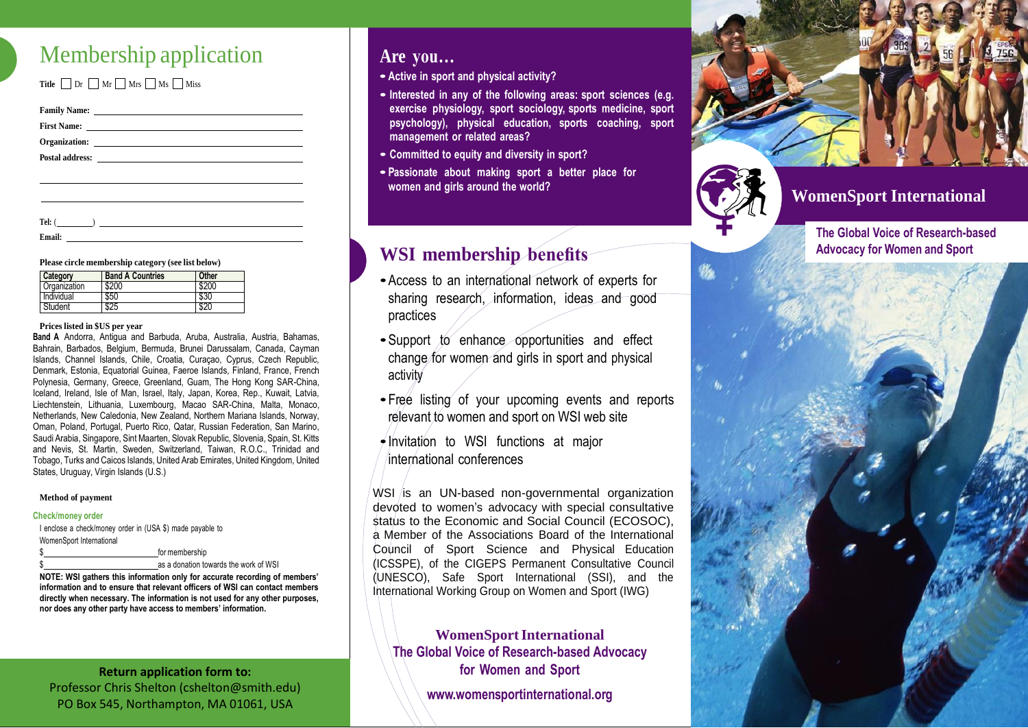# Membership application

**Title**  $\Box$  Dr  $\Box$  Mr  $\Box$  Mrs  $\Box$  Miss

| Family Name: <u>Department</u> |  |
|--------------------------------|--|
|                                |  |
|                                |  |
|                                |  |
|                                |  |
|                                |  |
|                                |  |

**Tel:** ( )

**Email:**

**Please circle membership category (see list below)**

| Category     | <b>Band A Countries</b> | Other |
|--------------|-------------------------|-------|
| Organization | \$200                   | \$200 |
| Individual   | \$50                    | \$30  |
| Student      |                         |       |

#### **Prices listed in \$US per year**

**Band A** Andorra, Antigua and Barbuda, Aruba, Australia, Austria, Bahamas, Bahrain, Barbados, Belgium, Bermuda, Brunei Darussalam, Canada, Cayman Islands, Channel Islands, Chile, Croatia, Curaçao, Cyprus, Czech Republic, Denmark, Estonia, Equatorial Guinea, Faeroe Islands, Finland, France, French Polynesia, Germany, Greece, Greenland, Guam, The Hong Kong SAR-China, Iceland, Ireland, Isle of Man, Israel, Italy, Japan, Korea, Rep., Kuwait, Latvia, Liechtenstein, Lithuania, Luxembourg, Macao SAR-China, Malta, Monaco, Netherlands, New Caledonia, New Zealand, Northern Mariana Islands, Norway, Oman, Poland, Portugal, Puerto Rico, Qatar, Russian Federation, San Marino, Saudi Arabia, Singapore, Sint Maarten, Slovak Republic, Slovenia, Spain, St. Kitts and Nevis, St. Martin, Sweden, Switzerland, Taiwan, R.O.C., Trinidad and Tobago, Turks and Caicos Islands, United Arab Emirates, United Kingdom, United States, Uruguay, Virgin Islands (U.S.)

#### **Method of payment**

#### **Check/money order**

I enclose a check/money order in (USA \$) made payable to WomenSport International for membership as a donation towards the work of WSI

**NOTE: WSI gathers this information only for accurate recording of members' information and to ensure that relevant officers of WSI can contact members directly when necessary. The information is not used for any other purposes, nor does any other party have access to members' information.**

### **Return application form to:** Professor Chris Shelton (cshelton@smith.edu) PO Box 545, Northampton, MA 01061, USA

BO Box 545, No

## **Are you…**

- **• Active in sport and physical activity?**
- **• Interested in any of the following areas: sport sciences (e.g. exercise physiology, sport sociology, sports medicine, sport psychology), physical education, sports coaching, sport management or related areas?**
- **• Committed to equity and diversity in sport?**
- **• Passionate about making sport <sup>a</sup> better place for women and girls around the world?**

## **WSI membership benefits**

- •Access to an international network of experts for sharing research, information, ideas and good practices
- Support to enhance opportunities and effect change for women and girls in sport and physical activity
- Free listing of your upcoming events and reports relevant to women and sport on WSI web site
- $\rightarrow$  Invitation to WSI functions at major international conferences

 $WSI$  is an UN-based non-governmental organization devoted to women's advocacy with special consultative status to the Economic and Social Council (ECOSOC), a Member of the Associations Board of the International Council of Sport Science and Physical Education (ICSSPE), of the CIGEPS Permanent Consultative Council (UNESCO), Safe Sport International (SSI), and the International Working Group on Women and Sport (IWG)

**WomenSportInternational The Global Voice of Research-based Advocacy for Women and Sport**

**[www.womensportinternational.org](http://www.womensportinternational.org/)**



**WomenSport International**

**The Global Voice of Research-based Advocacy for Women and Sport**